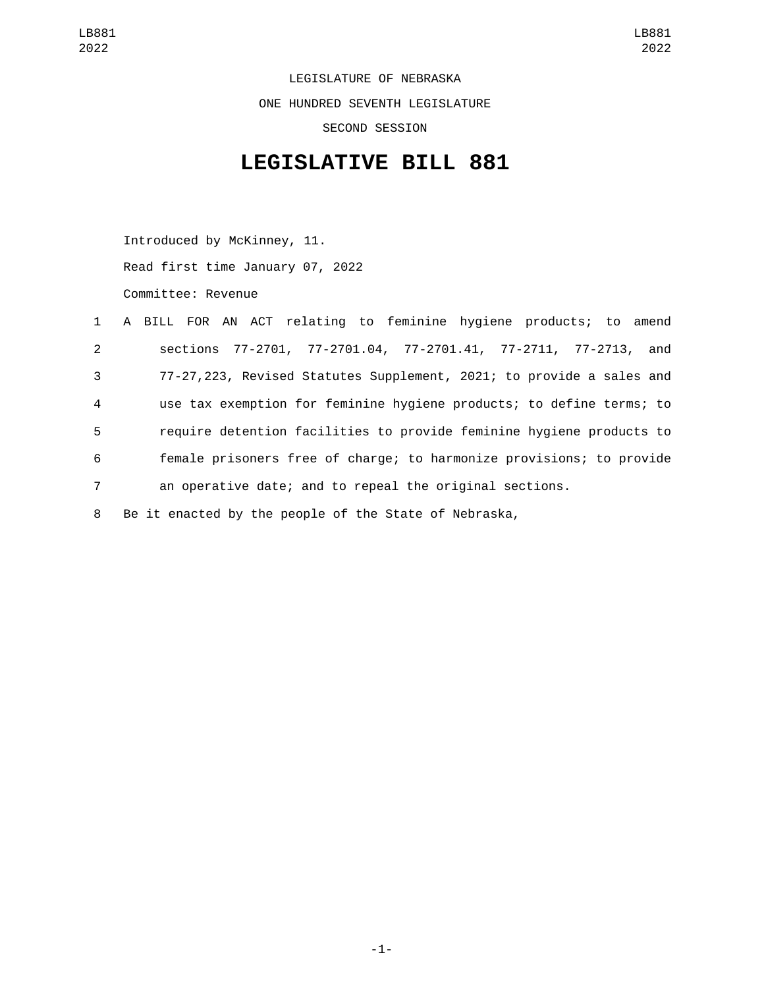LEGISLATURE OF NEBRASKA ONE HUNDRED SEVENTH LEGISLATURE SECOND SESSION

## **LEGISLATIVE BILL 881**

Introduced by McKinney, 11.

Read first time January 07, 2022

Committee: Revenue

|                | 1 A BILL FOR AN ACT relating to feminine hygiene products; to amend  |
|----------------|----------------------------------------------------------------------|
| $2^{\circ}$    | sections 77-2701, 77-2701.04, 77-2701.41, 77-2711, 77-2713, and      |
| 3              | 77-27,223, Revised Statutes Supplement, 2021; to provide a sales and |
| $\overline{4}$ | use tax exemption for feminine hygiene products; to define terms; to |
| 5              | require detention facilities to provide feminine hygiene products to |
| 6              | female prisoners free of charge; to harmonize provisions; to provide |
| $\overline{7}$ | an operative date; and to repeal the original sections.              |
|                |                                                                      |

8 Be it enacted by the people of the State of Nebraska,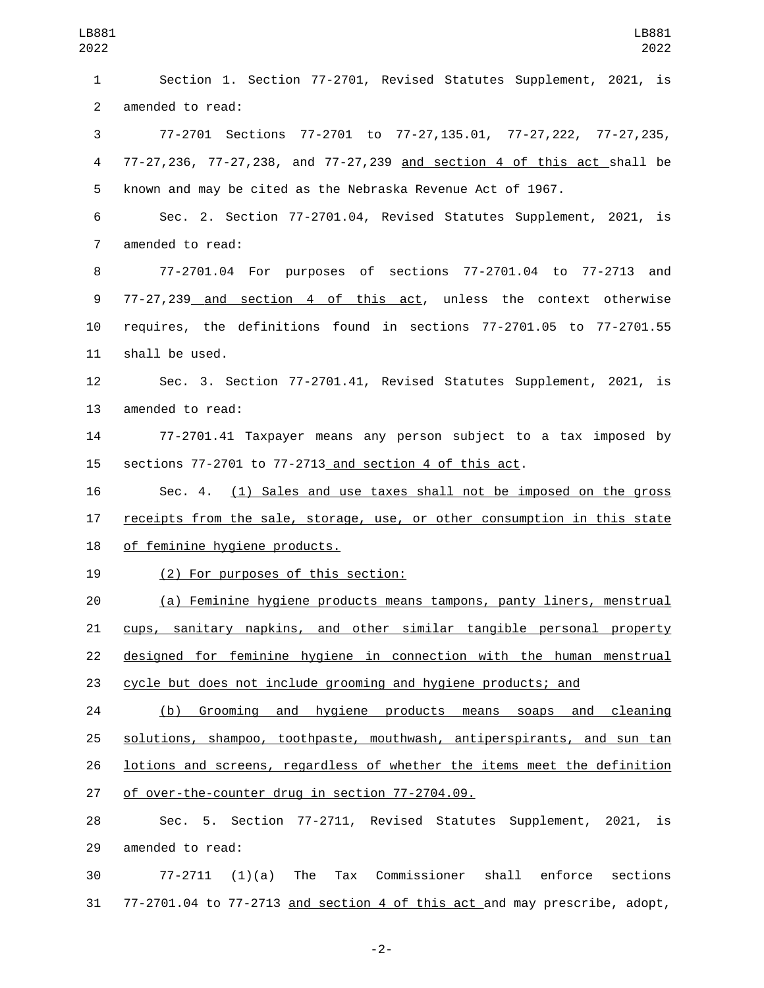Section 1. Section 77-2701, Revised Statutes Supplement, 2021, is 2 amended to read: 77-2701 Sections 77-2701 to 77-27,135.01, 77-27,222, 77-27,235, 77-27,236, 77-27,238, and 77-27,239 and section 4 of this act shall be known and may be cited as the Nebraska Revenue Act of 1967. Sec. 2. Section 77-2701.04, Revised Statutes Supplement, 2021, is 7 amended to read: 77-2701.04 For purposes of sections 77-2701.04 to 77-2713 and 77-27,239 and section 4 of this act, unless the context otherwise requires, the definitions found in sections 77-2701.05 to 77-2701.55 11 shall be used. Sec. 3. Section 77-2701.41, Revised Statutes Supplement, 2021, is 13 amended to read: 77-2701.41 Taxpayer means any person subject to a tax imposed by sections 77-2701 to 77-2713 and section 4 of this act. Sec. 4. (1) Sales and use taxes shall not be imposed on the gross 17 receipts from the sale, storage, use, or other consumption in this state 18 of feminine hygiene products. 19 (2) For purposes of this section: (a) Feminine hygiene products means tampons, panty liners, menstrual cups, sanitary napkins, and other similar tangible personal property designed for feminine hygiene in connection with the human menstrual cycle but does not include grooming and hygiene products; and (b) Grooming and hygiene products means soaps and cleaning solutions, shampoo, toothpaste, mouthwash, antiperspirants, and sun tan lotions and screens, regardless of whether the items meet the definition 27 of over-the-counter drug in section 77-2704.09. Sec. 5. Section 77-2711, Revised Statutes Supplement, 2021, is 29 amended to read: 77-2711 (1)(a) The Tax Commissioner shall enforce sections

77-2701.04 to 77-2713 and section 4 of this act and may prescribe, adopt,

-2-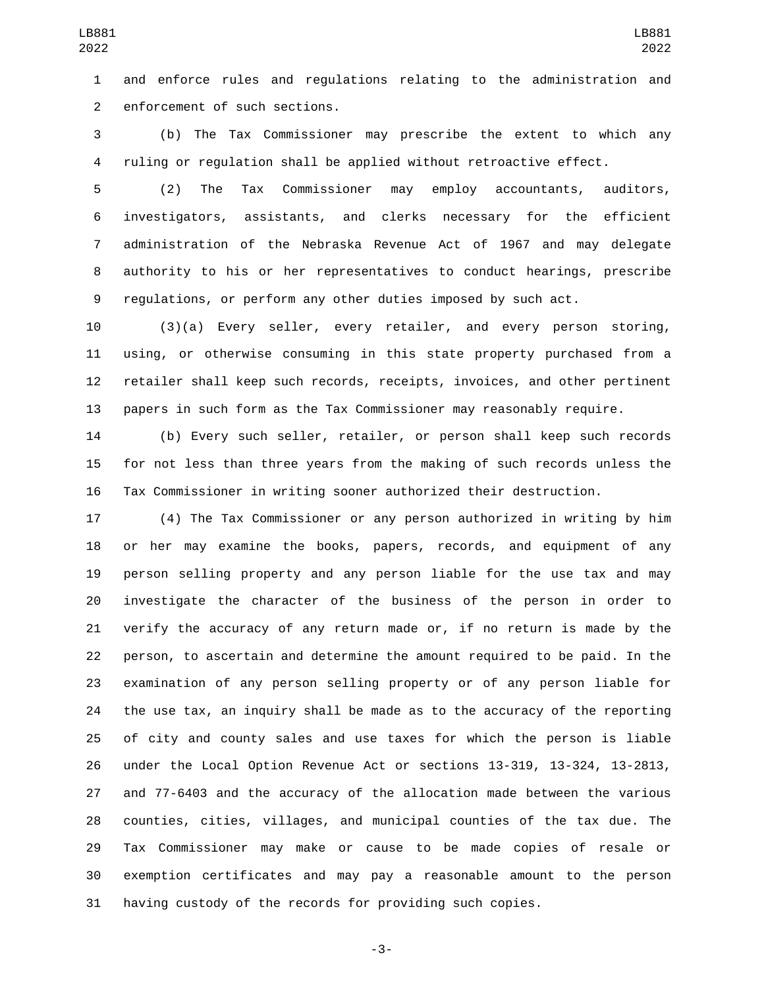and enforce rules and regulations relating to the administration and 2 enforcement of such sections.

 (b) The Tax Commissioner may prescribe the extent to which any ruling or regulation shall be applied without retroactive effect.

 (2) The Tax Commissioner may employ accountants, auditors, investigators, assistants, and clerks necessary for the efficient administration of the Nebraska Revenue Act of 1967 and may delegate authority to his or her representatives to conduct hearings, prescribe regulations, or perform any other duties imposed by such act.

 (3)(a) Every seller, every retailer, and every person storing, using, or otherwise consuming in this state property purchased from a retailer shall keep such records, receipts, invoices, and other pertinent papers in such form as the Tax Commissioner may reasonably require.

 (b) Every such seller, retailer, or person shall keep such records for not less than three years from the making of such records unless the Tax Commissioner in writing sooner authorized their destruction.

 (4) The Tax Commissioner or any person authorized in writing by him or her may examine the books, papers, records, and equipment of any person selling property and any person liable for the use tax and may investigate the character of the business of the person in order to verify the accuracy of any return made or, if no return is made by the person, to ascertain and determine the amount required to be paid. In the examination of any person selling property or of any person liable for the use tax, an inquiry shall be made as to the accuracy of the reporting of city and county sales and use taxes for which the person is liable under the Local Option Revenue Act or sections 13-319, 13-324, 13-2813, and 77-6403 and the accuracy of the allocation made between the various counties, cities, villages, and municipal counties of the tax due. The Tax Commissioner may make or cause to be made copies of resale or exemption certificates and may pay a reasonable amount to the person having custody of the records for providing such copies.

-3-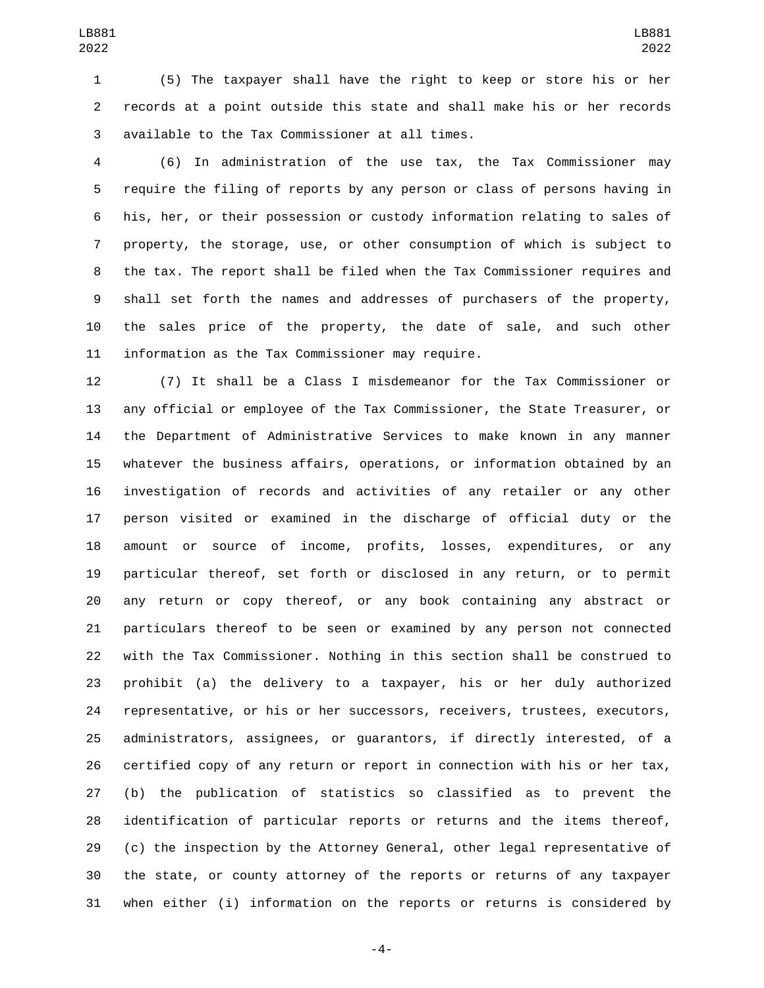(5) The taxpayer shall have the right to keep or store his or her records at a point outside this state and shall make his or her records available to the Tax Commissioner at all times.3

 (6) In administration of the use tax, the Tax Commissioner may require the filing of reports by any person or class of persons having in his, her, or their possession or custody information relating to sales of property, the storage, use, or other consumption of which is subject to the tax. The report shall be filed when the Tax Commissioner requires and shall set forth the names and addresses of purchasers of the property, the sales price of the property, the date of sale, and such other 11 information as the Tax Commissioner may require.

 (7) It shall be a Class I misdemeanor for the Tax Commissioner or any official or employee of the Tax Commissioner, the State Treasurer, or the Department of Administrative Services to make known in any manner whatever the business affairs, operations, or information obtained by an investigation of records and activities of any retailer or any other person visited or examined in the discharge of official duty or the amount or source of income, profits, losses, expenditures, or any particular thereof, set forth or disclosed in any return, or to permit any return or copy thereof, or any book containing any abstract or particulars thereof to be seen or examined by any person not connected with the Tax Commissioner. Nothing in this section shall be construed to prohibit (a) the delivery to a taxpayer, his or her duly authorized representative, or his or her successors, receivers, trustees, executors, administrators, assignees, or guarantors, if directly interested, of a certified copy of any return or report in connection with his or her tax, (b) the publication of statistics so classified as to prevent the identification of particular reports or returns and the items thereof, (c) the inspection by the Attorney General, other legal representative of the state, or county attorney of the reports or returns of any taxpayer when either (i) information on the reports or returns is considered by

-4-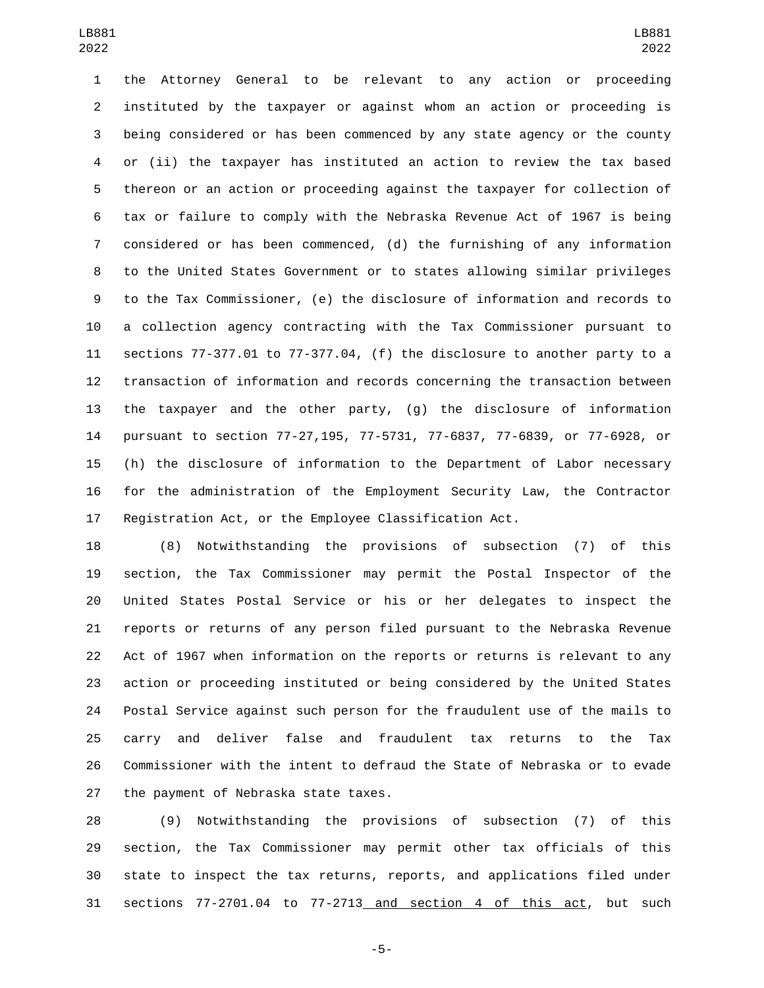the Attorney General to be relevant to any action or proceeding instituted by the taxpayer or against whom an action or proceeding is being considered or has been commenced by any state agency or the county or (ii) the taxpayer has instituted an action to review the tax based thereon or an action or proceeding against the taxpayer for collection of tax or failure to comply with the Nebraska Revenue Act of 1967 is being considered or has been commenced, (d) the furnishing of any information to the United States Government or to states allowing similar privileges to the Tax Commissioner, (e) the disclosure of information and records to a collection agency contracting with the Tax Commissioner pursuant to sections 77-377.01 to 77-377.04, (f) the disclosure to another party to a transaction of information and records concerning the transaction between the taxpayer and the other party, (g) the disclosure of information pursuant to section 77-27,195, 77-5731, 77-6837, 77-6839, or 77-6928, or (h) the disclosure of information to the Department of Labor necessary for the administration of the Employment Security Law, the Contractor Registration Act, or the Employee Classification Act.

 (8) Notwithstanding the provisions of subsection (7) of this section, the Tax Commissioner may permit the Postal Inspector of the United States Postal Service or his or her delegates to inspect the reports or returns of any person filed pursuant to the Nebraska Revenue Act of 1967 when information on the reports or returns is relevant to any action or proceeding instituted or being considered by the United States Postal Service against such person for the fraudulent use of the mails to carry and deliver false and fraudulent tax returns to the Tax Commissioner with the intent to defraud the State of Nebraska or to evade 27 the payment of Nebraska state taxes.

 (9) Notwithstanding the provisions of subsection (7) of this section, the Tax Commissioner may permit other tax officials of this state to inspect the tax returns, reports, and applications filed under sections 77-2701.04 to 77-2713 and section 4 of this act, but such

-5-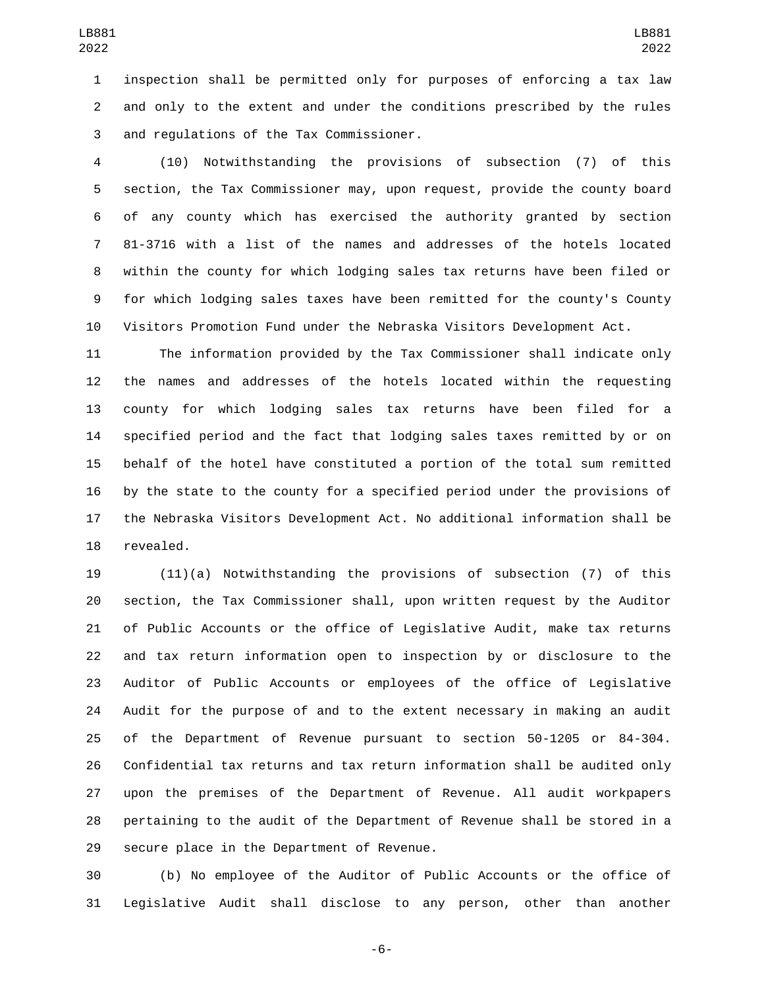inspection shall be permitted only for purposes of enforcing a tax law and only to the extent and under the conditions prescribed by the rules and regulations of the Tax Commissioner.3

 (10) Notwithstanding the provisions of subsection (7) of this section, the Tax Commissioner may, upon request, provide the county board of any county which has exercised the authority granted by section 81-3716 with a list of the names and addresses of the hotels located within the county for which lodging sales tax returns have been filed or for which lodging sales taxes have been remitted for the county's County Visitors Promotion Fund under the Nebraska Visitors Development Act.

 The information provided by the Tax Commissioner shall indicate only the names and addresses of the hotels located within the requesting county for which lodging sales tax returns have been filed for a specified period and the fact that lodging sales taxes remitted by or on behalf of the hotel have constituted a portion of the total sum remitted by the state to the county for a specified period under the provisions of the Nebraska Visitors Development Act. No additional information shall be 18 revealed.

 (11)(a) Notwithstanding the provisions of subsection (7) of this section, the Tax Commissioner shall, upon written request by the Auditor of Public Accounts or the office of Legislative Audit, make tax returns and tax return information open to inspection by or disclosure to the Auditor of Public Accounts or employees of the office of Legislative Audit for the purpose of and to the extent necessary in making an audit of the Department of Revenue pursuant to section 50-1205 or 84-304. Confidential tax returns and tax return information shall be audited only upon the premises of the Department of Revenue. All audit workpapers pertaining to the audit of the Department of Revenue shall be stored in a 29 secure place in the Department of Revenue.

 (b) No employee of the Auditor of Public Accounts or the office of Legislative Audit shall disclose to any person, other than another

-6-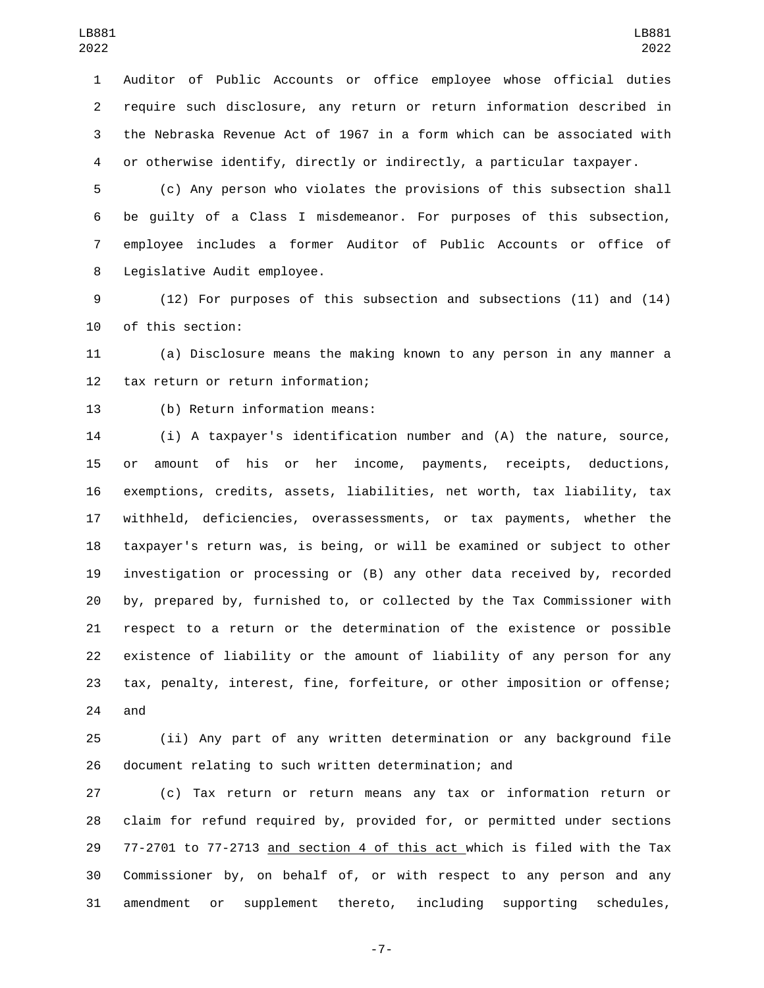Auditor of Public Accounts or office employee whose official duties require such disclosure, any return or return information described in the Nebraska Revenue Act of 1967 in a form which can be associated with or otherwise identify, directly or indirectly, a particular taxpayer.

 (c) Any person who violates the provisions of this subsection shall be guilty of a Class I misdemeanor. For purposes of this subsection, employee includes a former Auditor of Public Accounts or office of 8 Legislative Audit employee.

 (12) For purposes of this subsection and subsections (11) and (14) 10 of this section:

 (a) Disclosure means the making known to any person in any manner a 12 tax return or return information;

13 (b) Return information means:

 (i) A taxpayer's identification number and (A) the nature, source, or amount of his or her income, payments, receipts, deductions, exemptions, credits, assets, liabilities, net worth, tax liability, tax withheld, deficiencies, overassessments, or tax payments, whether the taxpayer's return was, is being, or will be examined or subject to other investigation or processing or (B) any other data received by, recorded by, prepared by, furnished to, or collected by the Tax Commissioner with respect to a return or the determination of the existence or possible existence of liability or the amount of liability of any person for any tax, penalty, interest, fine, forfeiture, or other imposition or offense; and

 (ii) Any part of any written determination or any background file document relating to such written determination; and

 (c) Tax return or return means any tax or information return or claim for refund required by, provided for, or permitted under sections 77-2701 to 77-2713 and section 4 of this act which is filed with the Tax Commissioner by, on behalf of, or with respect to any person and any amendment or supplement thereto, including supporting schedules,

-7-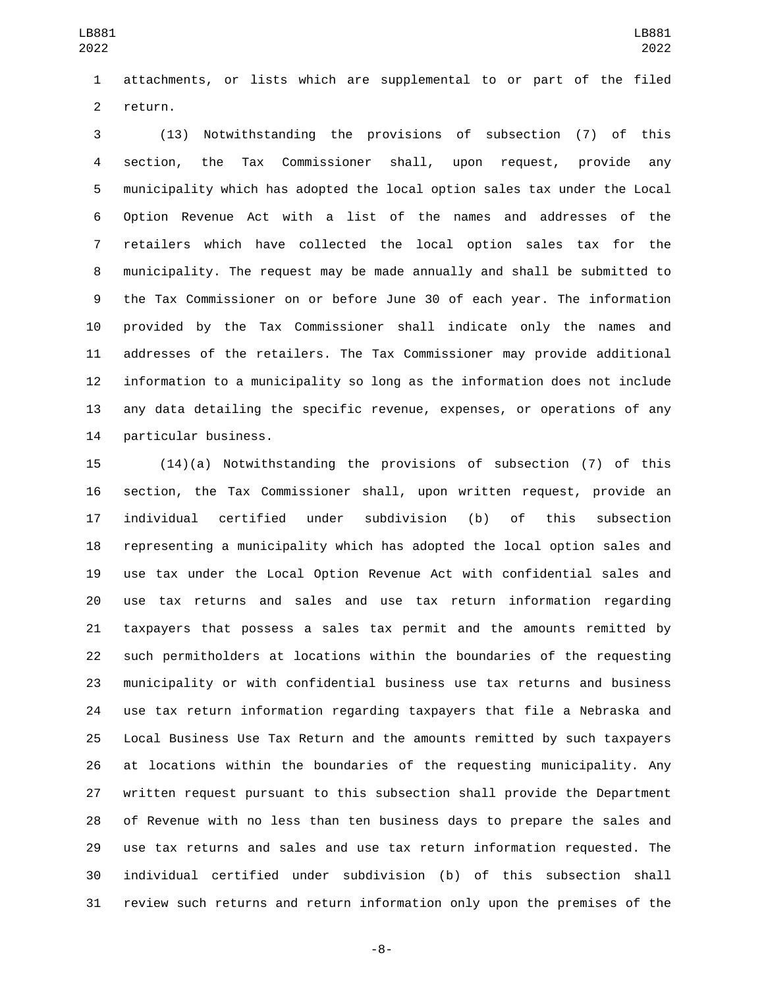attachments, or lists which are supplemental to or part of the filed 2 return.

 (13) Notwithstanding the provisions of subsection (7) of this section, the Tax Commissioner shall, upon request, provide any municipality which has adopted the local option sales tax under the Local Option Revenue Act with a list of the names and addresses of the retailers which have collected the local option sales tax for the municipality. The request may be made annually and shall be submitted to the Tax Commissioner on or before June 30 of each year. The information provided by the Tax Commissioner shall indicate only the names and addresses of the retailers. The Tax Commissioner may provide additional information to a municipality so long as the information does not include any data detailing the specific revenue, expenses, or operations of any 14 particular business.

 (14)(a) Notwithstanding the provisions of subsection (7) of this section, the Tax Commissioner shall, upon written request, provide an individual certified under subdivision (b) of this subsection representing a municipality which has adopted the local option sales and use tax under the Local Option Revenue Act with confidential sales and use tax returns and sales and use tax return information regarding taxpayers that possess a sales tax permit and the amounts remitted by such permitholders at locations within the boundaries of the requesting municipality or with confidential business use tax returns and business use tax return information regarding taxpayers that file a Nebraska and Local Business Use Tax Return and the amounts remitted by such taxpayers at locations within the boundaries of the requesting municipality. Any written request pursuant to this subsection shall provide the Department of Revenue with no less than ten business days to prepare the sales and use tax returns and sales and use tax return information requested. The individual certified under subdivision (b) of this subsection shall review such returns and return information only upon the premises of the

-8-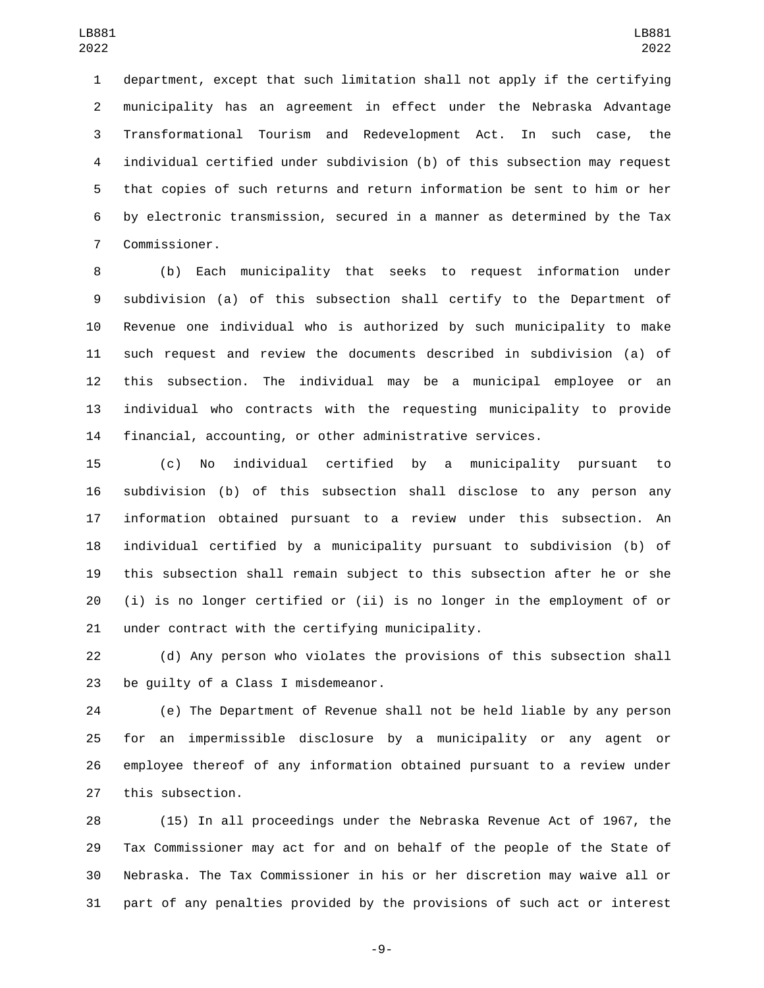department, except that such limitation shall not apply if the certifying municipality has an agreement in effect under the Nebraska Advantage Transformational Tourism and Redevelopment Act. In such case, the individual certified under subdivision (b) of this subsection may request that copies of such returns and return information be sent to him or her by electronic transmission, secured in a manner as determined by the Tax Commissioner.7

 (b) Each municipality that seeks to request information under subdivision (a) of this subsection shall certify to the Department of Revenue one individual who is authorized by such municipality to make such request and review the documents described in subdivision (a) of this subsection. The individual may be a municipal employee or an individual who contracts with the requesting municipality to provide financial, accounting, or other administrative services.

 (c) No individual certified by a municipality pursuant to subdivision (b) of this subsection shall disclose to any person any information obtained pursuant to a review under this subsection. An individual certified by a municipality pursuant to subdivision (b) of this subsection shall remain subject to this subsection after he or she (i) is no longer certified or (ii) is no longer in the employment of or 21 under contract with the certifying municipality.

 (d) Any person who violates the provisions of this subsection shall 23 be quilty of a Class I misdemeanor.

 (e) The Department of Revenue shall not be held liable by any person for an impermissible disclosure by a municipality or any agent or employee thereof of any information obtained pursuant to a review under 27 this subsection.

 (15) In all proceedings under the Nebraska Revenue Act of 1967, the Tax Commissioner may act for and on behalf of the people of the State of Nebraska. The Tax Commissioner in his or her discretion may waive all or part of any penalties provided by the provisions of such act or interest

-9-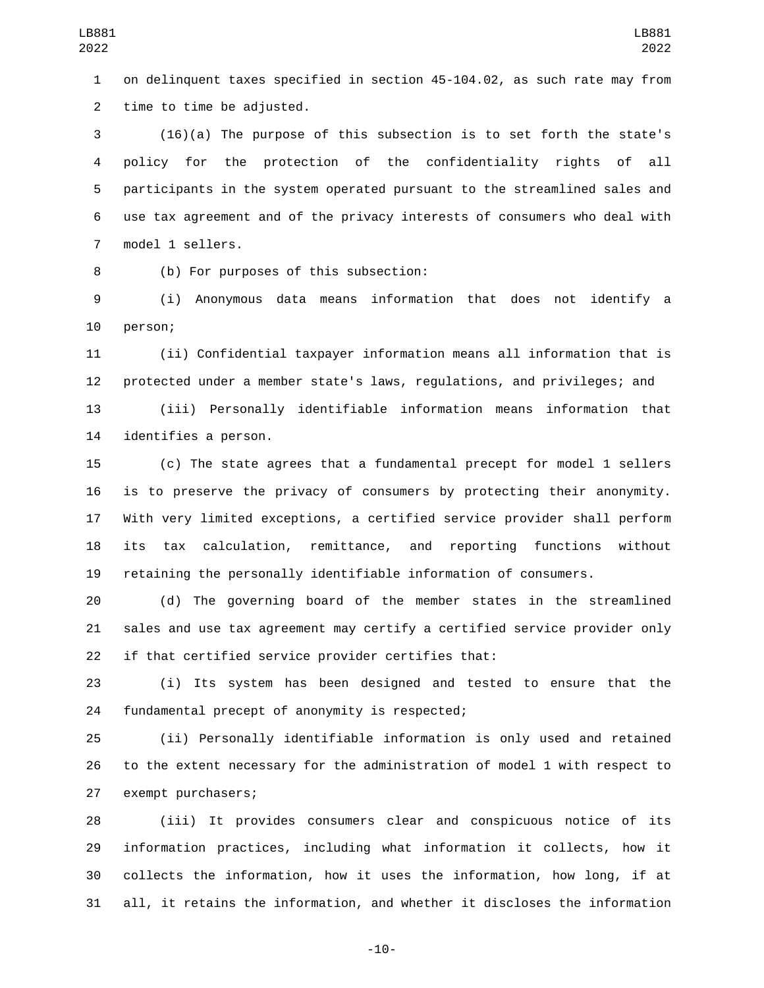on delinquent taxes specified in section 45-104.02, as such rate may from 2 time to time be adjusted.

 (16)(a) The purpose of this subsection is to set forth the state's policy for the protection of the confidentiality rights of all participants in the system operated pursuant to the streamlined sales and use tax agreement and of the privacy interests of consumers who deal with 7 model 1 sellers.

8 (b) For purposes of this subsection:

 (i) Anonymous data means information that does not identify a 10 person;

 (ii) Confidential taxpayer information means all information that is protected under a member state's laws, regulations, and privileges; and

 (iii) Personally identifiable information means information that 14 identifies a person.

 (c) The state agrees that a fundamental precept for model 1 sellers is to preserve the privacy of consumers by protecting their anonymity. With very limited exceptions, a certified service provider shall perform its tax calculation, remittance, and reporting functions without retaining the personally identifiable information of consumers.

 (d) The governing board of the member states in the streamlined sales and use tax agreement may certify a certified service provider only if that certified service provider certifies that:

 (i) Its system has been designed and tested to ensure that the 24 fundamental precept of anonymity is respected;

 (ii) Personally identifiable information is only used and retained to the extent necessary for the administration of model 1 with respect to 27 exempt purchasers;

 (iii) It provides consumers clear and conspicuous notice of its information practices, including what information it collects, how it collects the information, how it uses the information, how long, if at all, it retains the information, and whether it discloses the information

-10-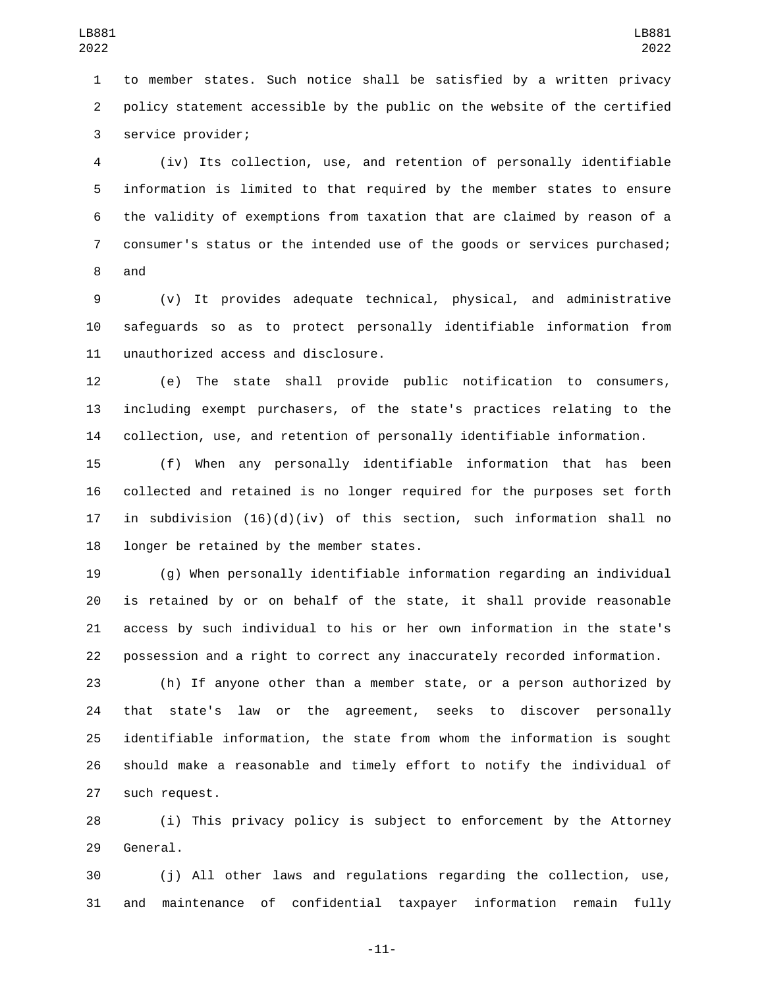to member states. Such notice shall be satisfied by a written privacy policy statement accessible by the public on the website of the certified 3 service provider;

 (iv) Its collection, use, and retention of personally identifiable information is limited to that required by the member states to ensure the validity of exemptions from taxation that are claimed by reason of a consumer's status or the intended use of the goods or services purchased; 8 and

 (v) It provides adequate technical, physical, and administrative safeguards so as to protect personally identifiable information from 11 unauthorized access and disclosure.

 (e) The state shall provide public notification to consumers, including exempt purchasers, of the state's practices relating to the collection, use, and retention of personally identifiable information.

 (f) When any personally identifiable information that has been collected and retained is no longer required for the purposes set forth in subdivision (16)(d)(iv) of this section, such information shall no 18 longer be retained by the member states.

 (g) When personally identifiable information regarding an individual is retained by or on behalf of the state, it shall provide reasonable access by such individual to his or her own information in the state's possession and a right to correct any inaccurately recorded information.

 (h) If anyone other than a member state, or a person authorized by that state's law or the agreement, seeks to discover personally identifiable information, the state from whom the information is sought should make a reasonable and timely effort to notify the individual of 27 such request.

 (i) This privacy policy is subject to enforcement by the Attorney 29 General.

 (j) All other laws and regulations regarding the collection, use, and maintenance of confidential taxpayer information remain fully

-11-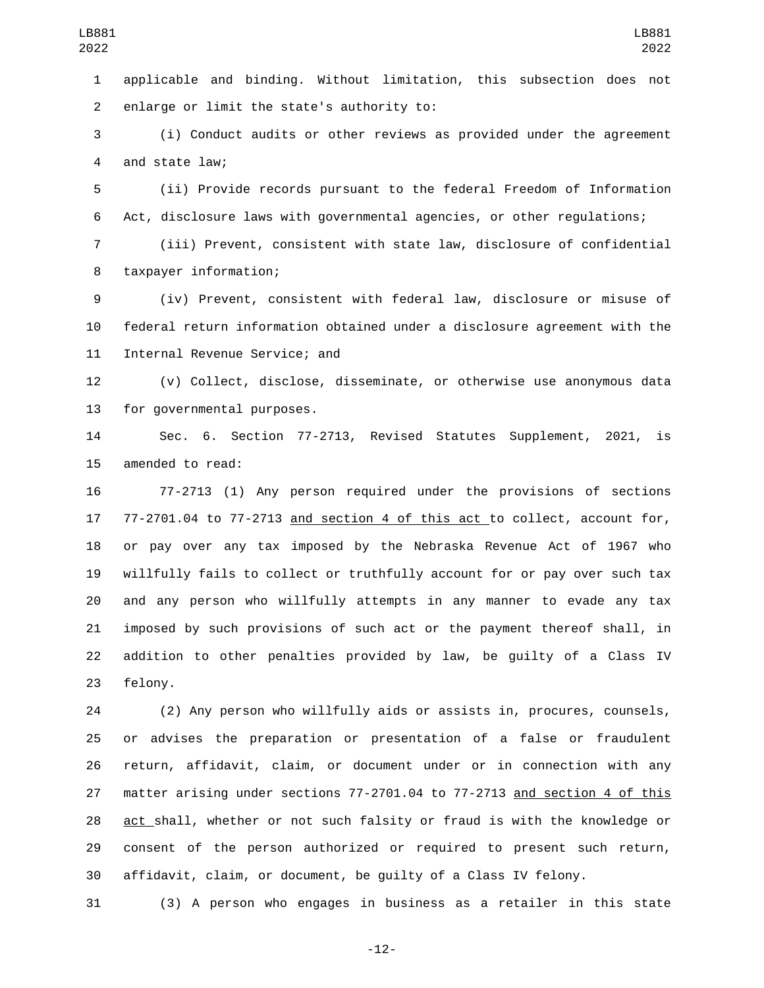applicable and binding. Without limitation, this subsection does not 2 enlarge or limit the state's authority to:

 (i) Conduct audits or other reviews as provided under the agreement 4 and state law;

 (ii) Provide records pursuant to the federal Freedom of Information Act, disclosure laws with governmental agencies, or other regulations;

 (iii) Prevent, consistent with state law, disclosure of confidential 8 taxpayer information;

 (iv) Prevent, consistent with federal law, disclosure or misuse of federal return information obtained under a disclosure agreement with the 11 Internal Revenue Service; and

 (v) Collect, disclose, disseminate, or otherwise use anonymous data 13 for governmental purposes.

 Sec. 6. Section 77-2713, Revised Statutes Supplement, 2021, is 15 amended to read:

 77-2713 (1) Any person required under the provisions of sections 77-2701.04 to 77-2713 and section 4 of this act to collect, account for, or pay over any tax imposed by the Nebraska Revenue Act of 1967 who willfully fails to collect or truthfully account for or pay over such tax and any person who willfully attempts in any manner to evade any tax imposed by such provisions of such act or the payment thereof shall, in addition to other penalties provided by law, be guilty of a Class IV 23 felony.

 (2) Any person who willfully aids or assists in, procures, counsels, or advises the preparation or presentation of a false or fraudulent return, affidavit, claim, or document under or in connection with any matter arising under sections 77-2701.04 to 77-2713 and section 4 of this 28 act shall, whether or not such falsity or fraud is with the knowledge or consent of the person authorized or required to present such return, affidavit, claim, or document, be guilty of a Class IV felony.

(3) A person who engages in business as a retailer in this state

-12-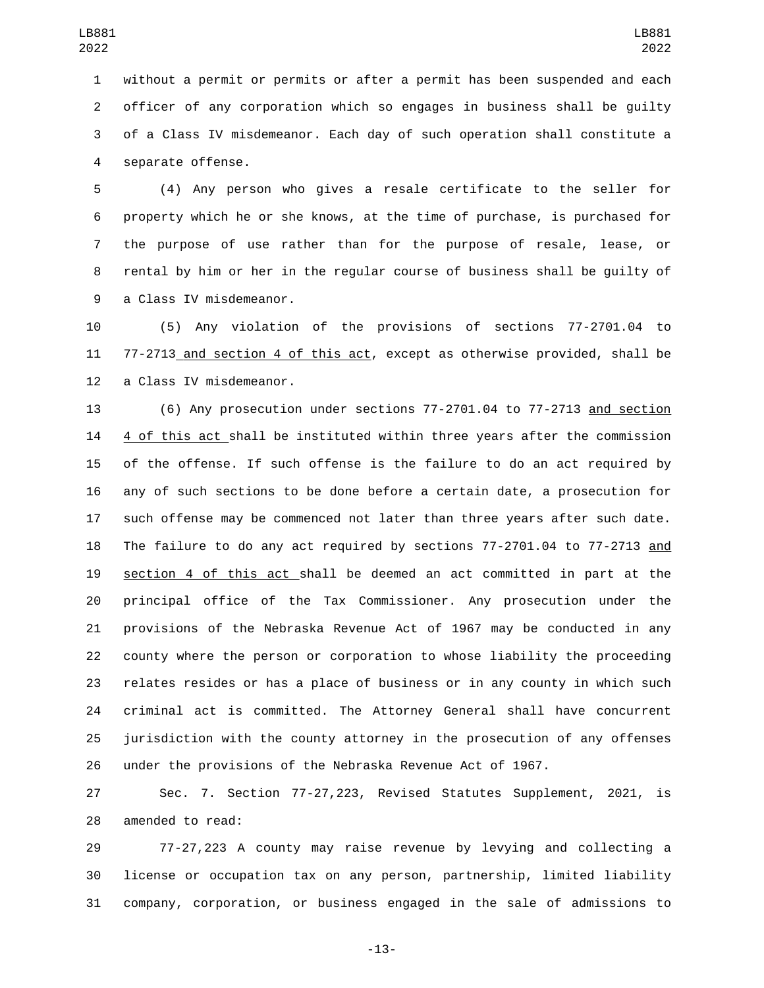without a permit or permits or after a permit has been suspended and each officer of any corporation which so engages in business shall be guilty of a Class IV misdemeanor. Each day of such operation shall constitute a 4 separate offense.

 (4) Any person who gives a resale certificate to the seller for property which he or she knows, at the time of purchase, is purchased for the purpose of use rather than for the purpose of resale, lease, or rental by him or her in the regular course of business shall be guilty of 9 a Class IV misdemeanor.

 (5) Any violation of the provisions of sections 77-2701.04 to 77-2713 and section 4 of this act, except as otherwise provided, shall be 12 a Class IV misdemeanor.

 (6) Any prosecution under sections 77-2701.04 to 77-2713 and section 4 of this act shall be instituted within three years after the commission of the offense. If such offense is the failure to do an act required by any of such sections to be done before a certain date, a prosecution for such offense may be commenced not later than three years after such date. The failure to do any act required by sections 77-2701.04 to 77-2713 and section 4 of this act shall be deemed an act committed in part at the principal office of the Tax Commissioner. Any prosecution under the provisions of the Nebraska Revenue Act of 1967 may be conducted in any county where the person or corporation to whose liability the proceeding relates resides or has a place of business or in any county in which such criminal act is committed. The Attorney General shall have concurrent jurisdiction with the county attorney in the prosecution of any offenses under the provisions of the Nebraska Revenue Act of 1967.

 Sec. 7. Section 77-27,223, Revised Statutes Supplement, 2021, is 28 amended to read:

 77-27,223 A county may raise revenue by levying and collecting a license or occupation tax on any person, partnership, limited liability company, corporation, or business engaged in the sale of admissions to

-13-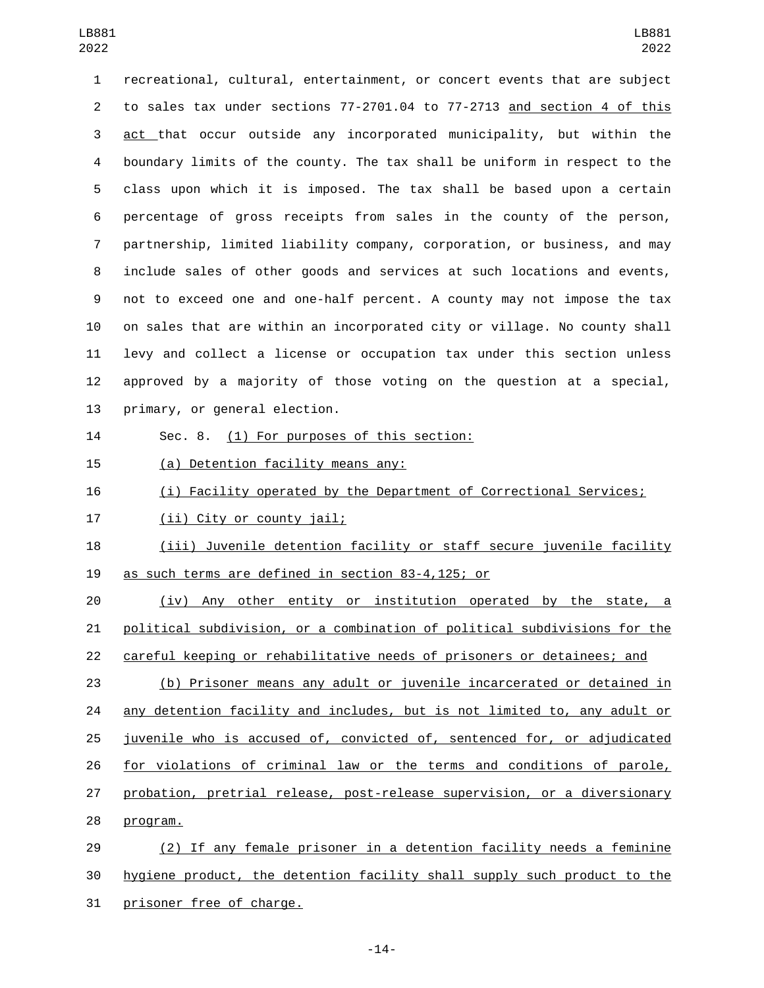recreational, cultural, entertainment, or concert events that are subject to sales tax under sections 77-2701.04 to 77-2713 and section 4 of this act that occur outside any incorporated municipality, but within the boundary limits of the county. The tax shall be uniform in respect to the class upon which it is imposed. The tax shall be based upon a certain percentage of gross receipts from sales in the county of the person, partnership, limited liability company, corporation, or business, and may include sales of other goods and services at such locations and events, not to exceed one and one-half percent. A county may not impose the tax on sales that are within an incorporated city or village. No county shall levy and collect a license or occupation tax under this section unless approved by a majority of those voting on the question at a special, 13 primary, or general election.

14 Sec. 8. (1) For purposes of this section:

15 (a) Detention facility means any:

16 (i) Facility operated by the Department of Correctional Services;

17 (ii) City or county jail;

 (iii) Juvenile detention facility or staff secure juvenile facility 19 as such terms are defined in section 83-4,125; or

 (iv) Any other entity or institution operated by the state, a political subdivision, or a combination of political subdivisions for the careful keeping or rehabilitative needs of prisoners or detainees; and

 (b) Prisoner means any adult or juvenile incarcerated or detained in any detention facility and includes, but is not limited to, any adult or juvenile who is accused of, convicted of, sentenced for, or adjudicated for violations of criminal law or the terms and conditions of parole, probation, pretrial release, post-release supervision, or a diversionary 28 program.

 (2) If any female prisoner in a detention facility needs a feminine hygiene product, the detention facility shall supply such product to the 31 prisoner free of charge.